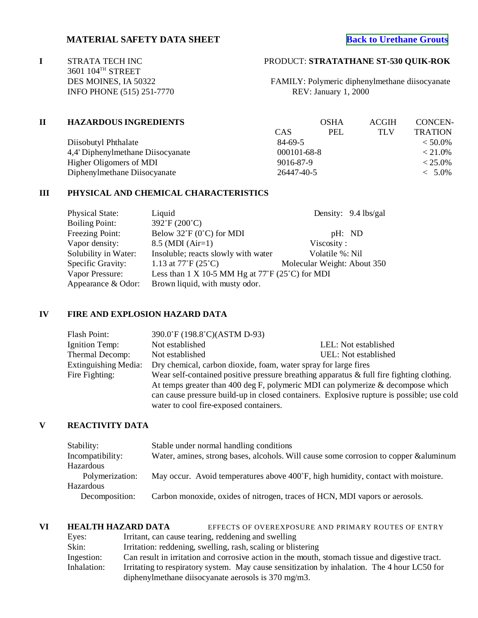# **MATERIAL SAFETY DATA SHEET**

3601 104<sup>TH</sup> STREET<br>DES MOINES, IA 50322 INFO PHONE (515) 251-7770

# **I** STRATA TECH INC PRODUCT: **STRATATHANE ST-530 QUIK-ROK**

FAMILY: Polymeric diphenylmethane diisocyanate<br>REV: January 1, 2000

| <b>HAZARDOUS INGREDIENTS</b>      |                                | <b>OSHA</b> | <b>ACGIH</b> | CONCEN-        |
|-----------------------------------|--------------------------------|-------------|--------------|----------------|
|                                   | CAS                            | PEL         | <b>TLV</b>   | <b>TRATION</b> |
| Diisobutyl Phthalate              | 84-69-5                        |             |              | $< 50.0\%$     |
| 4,4' Diphenylmethane Diisocyanate | $000101 - 68 - 8$<br>9016-87-9 |             |              | $< 21.0\%$     |
| Higher Oligomers of MDI           |                                |             |              | $< 25.0\%$     |
| Diphenylmethane Diisocyanate      |                                |             |              | $< 5.0\%$      |
|                                   |                                |             | 26447-40-5   |                |

#### **III PHYSICAL AND CHEMICAL CHARACTERISTICS**

| <b>Physical State:</b> | Liquid                                                           | Density: 9.4 lbs/gal        |
|------------------------|------------------------------------------------------------------|-----------------------------|
| <b>Boiling Point:</b>  | 392°F (200°C)                                                    |                             |
| Freezing Point:        | Below $32^{\circ}F(0^{\circ}C)$ for MDI                          | pH: ND                      |
| Vapor density:         | $8.5$ (MDI (Air=1)                                               | Viscosity:                  |
| Solubility in Water:   | Insoluble; reacts slowly with water                              | Volatile %: Nil             |
| Specific Gravity:      | 1.13 at $77^{\circ}F(25^{\circ}C)$                               | Molecular Weight: About 350 |
| Vapor Pressure:        | Less than 1 X 10-5 MM Hg at $77^\circ$ F (25 $^\circ$ C) for MDI |                             |
| Appearance & Odor:     | Brown liquid, with musty odor.                                   |                             |

#### **IV FIRE AND EXPLOSION HAZARD DATA**

| Flash Point:                                                                                                                                                                                                                                                                                                                               | 390.0°F (198.8°C)(ASTM D-93)                                    |                      |
|--------------------------------------------------------------------------------------------------------------------------------------------------------------------------------------------------------------------------------------------------------------------------------------------------------------------------------------------|-----------------------------------------------------------------|----------------------|
| Ignition Temp:                                                                                                                                                                                                                                                                                                                             | Not established                                                 | LEL: Not established |
| Thermal Decomp:                                                                                                                                                                                                                                                                                                                            | Not established                                                 | UEL: Not established |
| <b>Extinguishing Media:</b>                                                                                                                                                                                                                                                                                                                | Dry chemical, carbon dioxide, foam, water spray for large fires |                      |
| Wear self-contained positive pressure breathing apparatus $\&$ full fire fighting clothing.<br>Fire Fighting:<br>At temps greater than 400 deg F, polymeric MDI can polymerize $\&$ decompose which<br>can cause pressure build-up in closed containers. Explosive rupture is possible; use cold<br>water to cool fire-exposed containers. |                                                                 |                      |

## **V REACTIVITY DATA**

| Stability:       | Stable under normal handling conditions                                               |
|------------------|---------------------------------------------------------------------------------------|
| Incompatibility: | Water, amines, strong bases, alcohols. Will cause some corrosion to copper & aluminum |
| Hazardous        |                                                                                       |
| Polymerization:  | May occur. Avoid temperatures above 400°F, high humidity, contact with moisture.      |
| Hazardous        |                                                                                       |
| Decomposition:   | Carbon monoxide, oxides of nitrogen, traces of HCN, MDI vapors or aerosols.           |
|                  |                                                                                       |

**VI HEALTH HAZARD DATA** EFFECTS OF OVEREXPOSURE AND PRIMARY ROUTES OF ENTRY Eyes: Irritant, can cause tearing, reddening and swelling Skin: Irritation: reddening, swelling, rash, scaling or blistering Ingestion: Can result in irritation and corrosive action in the mouth, stomach tissue and digestive tract.<br>Inhalation: Irritating to respiratory system. May cause sensitization by inhalation. The 4 hour LC50 for Irritating to respiratory system. May cause sensitization by inhalation. The 4 hour LC50 for diphenylmethane diisocyanate aerosols is 370 mg/m3.